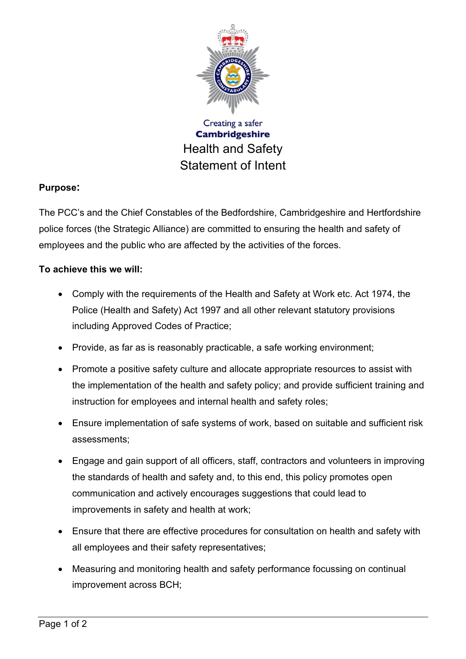

## **Purpose:**

The PCC's and the Chief Constables of the Bedfordshire, Cambridgeshire and Hertfordshire police forces (the Strategic Alliance) are committed to ensuring the health and safety of employees and the public who are affected by the activities of the forces.

## **To achieve this we will:**

- Comply with the requirements of the Health and Safety at Work etc. Act 1974, the Police (Health and Safety) Act 1997 and all other relevant statutory provisions including Approved Codes of Practice;
- Provide, as far as is reasonably practicable, a safe working environment;
- Promote a positive safety culture and allocate appropriate resources to assist with the implementation of the health and safety policy; and provide sufficient training and instruction for employees and internal health and safety roles;
- Ensure implementation of safe systems of work, based on suitable and sufficient risk assessments;
- Engage and gain support of all officers, staff, contractors and volunteers in improving the standards of health and safety and, to this end, this policy promotes open communication and actively encourages suggestions that could lead to improvements in safety and health at work;
- Ensure that there are effective procedures for consultation on health and safety with all employees and their safety representatives;
- Measuring and monitoring health and safety performance focussing on continual improvement across BCH;